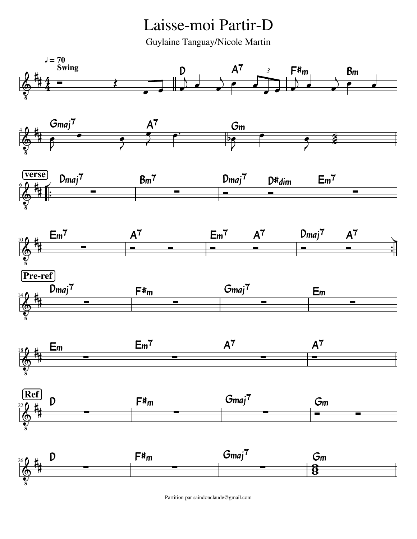Laisse-moi Partir-D

Guylaine Tanguay/Nicole Martin



Partition par saindonclaude@gmail.com